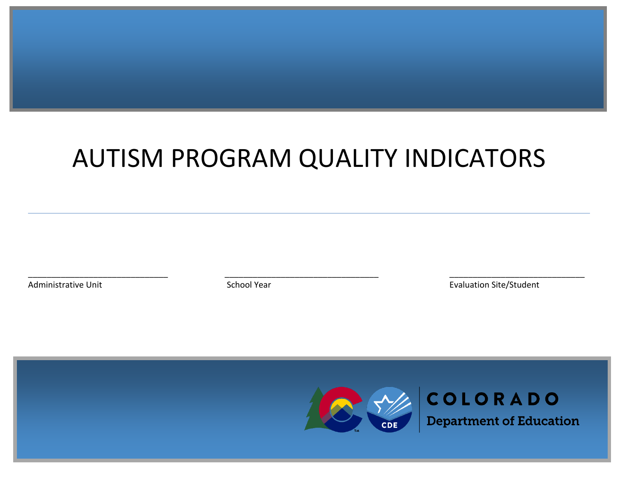# AUTISM PROGRAM QUALITY INDICATORS

\_\_\_\_\_\_\_\_\_\_\_\_\_\_\_\_\_\_\_\_\_\_\_\_\_\_\_\_\_\_ \_\_\_\_\_\_\_\_\_\_\_\_\_\_\_\_\_\_\_\_\_\_\_\_\_\_\_\_\_\_\_\_\_ \_\_\_\_\_\_\_\_\_\_\_\_\_\_\_\_\_\_\_\_\_\_\_\_\_\_\_\_\_

Administrative Unit **Administrative Unit** Contract Contract School Year **Evaluation Site/Student** 



**Department of Education**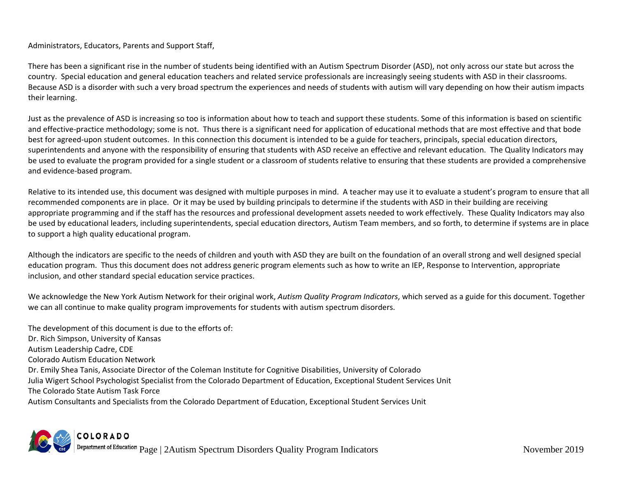### Administrators, Educators, Parents and Support Staff,

There has been a significant rise in the number of students being identified with an Autism Spectrum Disorder (ASD), not only across our state but across the country. Special education and general education teachers and related service professionals are increasingly seeing students with ASD in their classrooms. Because ASD is a disorder with such a very broad spectrum the experiences and needs of students with autism will vary depending on how their autism impacts their learning.

Just as the prevalence of ASD is increasing so too is information about how to teach and support these students. Some of this information is based on scientific and effective-practice methodology; some is not. Thus there is a significant need for application of educational methods that are most effective and that bode best for agreed-upon student outcomes. In this connection this document is intended to be a guide for teachers, principals, special education directors, superintendents and anyone with the responsibility of ensuring that students with ASD receive an effective and relevant education. The Quality Indicators may be used to evaluate the program provided for a single student or a classroom of students relative to ensuring that these students are provided a comprehensive and evidence-based program.

Relative to its intended use, this document was designed with multiple purposes in mind. A teacher may use it to evaluate a student's program to ensure that all recommended components are in place. Or it may be used by building principals to determine if the students with ASD in their building are receiving appropriate programming and if the staff has the resources and professional development assets needed to work effectively. These Quality Indicators may also be used by educational leaders, including superintendents, special education directors, Autism Team members, and so forth, to determine if systems are in place to support a high quality educational program.

Although the indicators are specific to the needs of children and youth with ASD they are built on the foundation of an overall strong and well designed special education program. Thus this document does not address generic program elements such as how to write an IEP, Response to Intervention, appropriate inclusion, and other standard special education service practices.

We acknowledge the New York Autism Network for their original work, *Autism Quality Program Indicators*, which served as a guide for this document. Together we can all continue to make quality program improvements for students with autism spectrum disorders.

The development of this document is due to the efforts of: Dr. Rich Simpson, University of Kansas Autism Leadership Cadre, CDE Colorado Autism Education Network Dr. Emily Shea Tanis, Associate Director of the Coleman Institute for Cognitive Disabilities, University of Colorado Julia Wigert School Psychologist Specialist from the Colorado Department of Education, Exceptional Student Services Unit The Colorado State Autism Task Force Autism Consultants and Specialists from the Colorado Department of Education, Exceptional Student Services Unit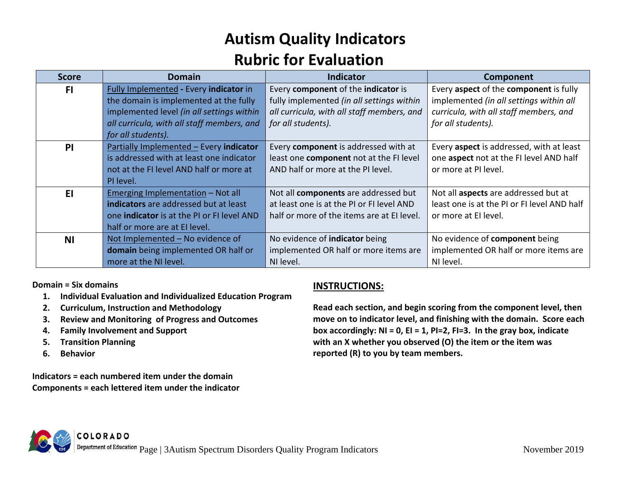## **Autism Quality Indicators Rubric for Evaluation**

| <b>Score</b> | <b>Domain</b>                                     | <b>Indicator</b>                           | Component                                   |
|--------------|---------------------------------------------------|--------------------------------------------|---------------------------------------------|
| F1           | Fully Implemented - Every indicator in            | Every component of the indicator is        | Every aspect of the component is fully      |
|              | the domain is implemented at the fully            | fully implemented (in all settings within  | implemented (in all settings within all     |
|              | implemented level (in all settings within         | all curricula, with all staff members, and | curricula, with all staff members, and      |
|              | all curricula, with all staff members, and        | for all students).                         | for all students).                          |
|              | for all students).                                |                                            |                                             |
| PI           | Partially Implemented - Every indicator           | Every component is addressed with at       | Every aspect is addressed, with at least    |
|              | is addressed with at least one indicator          | least one component not at the FI level    | one aspect not at the FI level AND half     |
|              | not at the FI level AND half or more at           | AND half or more at the PI level.          | or more at PI level.                        |
|              | PI level.                                         |                                            |                                             |
| E1           | <u>Emerging Implementation</u> - Not all          | Not all components are addressed but       | Not all aspects are addressed but at        |
|              | indicators are addressed but at least             | at least one is at the PI or FI level AND  | least one is at the PI or FI level AND half |
|              | one <b>indicator</b> is at the PI or FI level AND | half or more of the items are at EI level. | or more at El level.                        |
|              | half or more are at EI level.                     |                                            |                                             |
| <b>NI</b>    | Not Implemented - No evidence of                  | No evidence of indicator being             | No evidence of component being              |
|              | domain being implemented OR half or               | implemented OR half or more items are      | implemented OR half or more items are       |
|              | more at the NI level.                             | NI level.                                  | NI level.                                   |

**Domain = Six domains** 

- **1. Individual Evaluation and Individualized Education Program**
- **2. Curriculum, Instruction and Methodology**
- **3. Review and Monitoring of Progress and Outcomes**
- **4. Family Involvement and Support**
- **5. Transition Planning**
- **6. Behavior**

**Indicators = each numbered item under the domain Components = each lettered item under the indicator**

### **INSTRUCTIONS:**

**Read each section, and begin scoring from the component level, then move on to indicator level, and finishing with the domain. Score each box accordingly: NI = 0, EI = 1, PI=2, FI=3. In the gray box, indicate with an X whether you observed (O) the item or the item was reported (R) to you by team members.**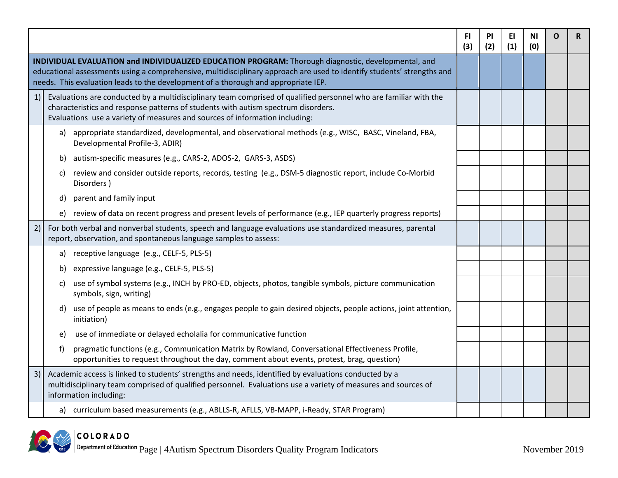|    |                                                                                                                                                                                                                                                                                                                     | FI.<br>(3) | <b>PI</b><br>(2) | EI<br>(1) | ΝI<br>(0) | O | R |
|----|---------------------------------------------------------------------------------------------------------------------------------------------------------------------------------------------------------------------------------------------------------------------------------------------------------------------|------------|------------------|-----------|-----------|---|---|
|    | INDIVIDUAL EVALUATION and INDIVIDUALIZED EDUCATION PROGRAM: Thorough diagnostic, developmental, and<br>educational assessments using a comprehensive, multidisciplinary approach are used to identify students' strengths and<br>needs. This evaluation leads to the development of a thorough and appropriate IEP. |            |                  |           |           |   |   |
| 1) | Evaluations are conducted by a multidisciplinary team comprised of qualified personnel who are familiar with the<br>characteristics and response patterns of students with autism spectrum disorders.<br>Evaluations use a variety of measures and sources of information including:                                |            |                  |           |           |   |   |
|    | a) appropriate standardized, developmental, and observational methods (e.g., WISC, BASC, Vineland, FBA,<br>Developmental Profile-3, ADIR)                                                                                                                                                                           |            |                  |           |           |   |   |
|    | autism-specific measures (e.g., CARS-2, ADOS-2, GARS-3, ASDS)<br>b)                                                                                                                                                                                                                                                 |            |                  |           |           |   |   |
|    | review and consider outside reports, records, testing (e.g., DSM-5 diagnostic report, include Co-Morbid<br>C)<br>Disorders)                                                                                                                                                                                         |            |                  |           |           |   |   |
|    | parent and family input<br>d)                                                                                                                                                                                                                                                                                       |            |                  |           |           |   |   |
|    | e) review of data on recent progress and present levels of performance (e.g., IEP quarterly progress reports)                                                                                                                                                                                                       |            |                  |           |           |   |   |
| 2) | For both verbal and nonverbal students, speech and language evaluations use standardized measures, parental<br>report, observation, and spontaneous language samples to assess:                                                                                                                                     |            |                  |           |           |   |   |
|    | receptive language (e.g., CELF-5, PLS-5)<br>a)                                                                                                                                                                                                                                                                      |            |                  |           |           |   |   |
|    | expressive language (e.g., CELF-5, PLS-5)<br>b)                                                                                                                                                                                                                                                                     |            |                  |           |           |   |   |
|    | use of symbol systems (e.g., INCH by PRO-ED, objects, photos, tangible symbols, picture communication<br>C)<br>symbols, sign, writing)                                                                                                                                                                              |            |                  |           |           |   |   |
|    | use of people as means to ends (e.g., engages people to gain desired objects, people actions, joint attention,<br>d)<br>initiation)                                                                                                                                                                                 |            |                  |           |           |   |   |
|    | use of immediate or delayed echolalia for communicative function<br>e)                                                                                                                                                                                                                                              |            |                  |           |           |   |   |
|    | pragmatic functions (e.g., Communication Matrix by Rowland, Conversational Effectiveness Profile,<br>f)<br>opportunities to request throughout the day, comment about events, protest, brag, question)                                                                                                              |            |                  |           |           |   |   |
| 3) | Academic access is linked to students' strengths and needs, identified by evaluations conducted by a<br>multidisciplinary team comprised of qualified personnel. Evaluations use a variety of measures and sources of<br>information including:                                                                     |            |                  |           |           |   |   |
|    | curriculum based measurements (e.g., ABLLS-R, AFLLS, VB-MAPP, i-Ready, STAR Program)<br>a)                                                                                                                                                                                                                          |            |                  |           |           |   |   |

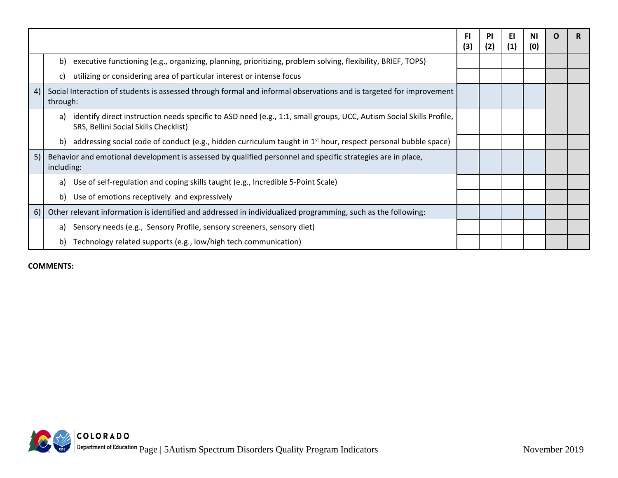|    |                                                                                                                                                                    | <b>FI</b><br>(3) | PI<br>(2) | EI.<br>(1) | ΝI<br>(0) | O | R. |
|----|--------------------------------------------------------------------------------------------------------------------------------------------------------------------|------------------|-----------|------------|-----------|---|----|
|    | b)<br>executive functioning (e.g., organizing, planning, prioritizing, problem solving, flexibility, BRIEF, TOPS)                                                  |                  |           |            |           |   |    |
|    | utilizing or considering area of particular interest or intense focus<br>C)                                                                                        |                  |           |            |           |   |    |
| 4) | Social Interaction of students is assessed through formal and informal observations and is targeted for improvement<br>through:                                    |                  |           |            |           |   |    |
|    | identify direct instruction needs specific to ASD need (e.g., 1:1, small groups, UCC, Autism Social Skills Profile,<br>a)<br>SRS, Bellini Social Skills Checklist) |                  |           |            |           |   |    |
|    | addressing social code of conduct (e.g., hidden curriculum taught in $1st$ hour, respect personal bubble space)<br>b)                                              |                  |           |            |           |   |    |
| 5) | Behavior and emotional development is assessed by qualified personnel and specific strategies are in place,<br>including:                                          |                  |           |            |           |   |    |
|    | Use of self-regulation and coping skills taught (e.g., Incredible 5-Point Scale)<br>a)                                                                             |                  |           |            |           |   |    |
|    | b)<br>Use of emotions receptively and expressively                                                                                                                 |                  |           |            |           |   |    |
| 6) | Other relevant information is identified and addressed in individualized programming, such as the following:                                                       |                  |           |            |           |   |    |
|    | Sensory needs (e.g., Sensory Profile, sensory screeners, sensory diet)<br>a)                                                                                       |                  |           |            |           |   |    |
|    | Technology related supports (e.g., low/high tech communication)<br>b)                                                                                              |                  |           |            |           |   |    |

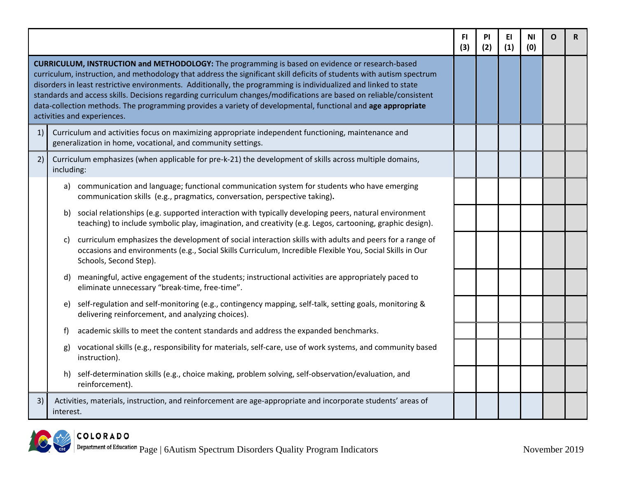|                                                                                                                                                                                                                                                                                                                                                                                                                                                                                                                                                                                                                          |                                                                                                                                                                                                                                                      | FI.<br>(3) | <b>PI</b><br>(2) | ΕI<br>(1) | ΝI<br>(0) | O | R |
|--------------------------------------------------------------------------------------------------------------------------------------------------------------------------------------------------------------------------------------------------------------------------------------------------------------------------------------------------------------------------------------------------------------------------------------------------------------------------------------------------------------------------------------------------------------------------------------------------------------------------|------------------------------------------------------------------------------------------------------------------------------------------------------------------------------------------------------------------------------------------------------|------------|------------------|-----------|-----------|---|---|
| <b>CURRICULUM, INSTRUCTION and METHODOLOGY:</b> The programming is based on evidence or research-based<br>curriculum, instruction, and methodology that address the significant skill deficits of students with autism spectrum<br>disorders in least restrictive environments. Additionally, the programming is individualized and linked to state<br>standards and access skills. Decisions regarding curriculum changes/modifications are based on reliable/consistent<br>data-collection methods. The programming provides a variety of developmental, functional and age appropriate<br>activities and experiences. |                                                                                                                                                                                                                                                      |            |                  |           |           |   |   |
| 1)                                                                                                                                                                                                                                                                                                                                                                                                                                                                                                                                                                                                                       | Curriculum and activities focus on maximizing appropriate independent functioning, maintenance and<br>generalization in home, vocational, and community settings.                                                                                    |            |                  |           |           |   |   |
| 2)                                                                                                                                                                                                                                                                                                                                                                                                                                                                                                                                                                                                                       | Curriculum emphasizes (when applicable for pre-k-21) the development of skills across multiple domains,<br>including:                                                                                                                                |            |                  |           |           |   |   |
|                                                                                                                                                                                                                                                                                                                                                                                                                                                                                                                                                                                                                          | a) communication and language; functional communication system for students who have emerging<br>communication skills (e.g., pragmatics, conversation, perspective taking).                                                                          |            |                  |           |           |   |   |
|                                                                                                                                                                                                                                                                                                                                                                                                                                                                                                                                                                                                                          | social relationships (e.g. supported interaction with typically developing peers, natural environment<br>b)<br>teaching) to include symbolic play, imagination, and creativity (e.g. Legos, cartooning, graphic design).                             |            |                  |           |           |   |   |
|                                                                                                                                                                                                                                                                                                                                                                                                                                                                                                                                                                                                                          | curriculum emphasizes the development of social interaction skills with adults and peers for a range of<br>C)<br>occasions and environments (e.g., Social Skills Curriculum, Incredible Flexible You, Social Skills in Our<br>Schools, Second Step). |            |                  |           |           |   |   |
|                                                                                                                                                                                                                                                                                                                                                                                                                                                                                                                                                                                                                          | meaningful, active engagement of the students; instructional activities are appropriately paced to<br>d)<br>eliminate unnecessary "break-time, free-time".                                                                                           |            |                  |           |           |   |   |
|                                                                                                                                                                                                                                                                                                                                                                                                                                                                                                                                                                                                                          | self-regulation and self-monitoring (e.g., contingency mapping, self-talk, setting goals, monitoring &<br>e)<br>delivering reinforcement, and analyzing choices).                                                                                    |            |                  |           |           |   |   |
|                                                                                                                                                                                                                                                                                                                                                                                                                                                                                                                                                                                                                          | academic skills to meet the content standards and address the expanded benchmarks.<br>f                                                                                                                                                              |            |                  |           |           |   |   |
|                                                                                                                                                                                                                                                                                                                                                                                                                                                                                                                                                                                                                          | vocational skills (e.g., responsibility for materials, self-care, use of work systems, and community based<br>g)<br>instruction).                                                                                                                    |            |                  |           |           |   |   |
|                                                                                                                                                                                                                                                                                                                                                                                                                                                                                                                                                                                                                          | self-determination skills (e.g., choice making, problem solving, self-observation/evaluation, and<br>h)<br>reinforcement).                                                                                                                           |            |                  |           |           |   |   |
| 3)                                                                                                                                                                                                                                                                                                                                                                                                                                                                                                                                                                                                                       | Activities, materials, instruction, and reinforcement are age-appropriate and incorporate students' areas of<br>interest.                                                                                                                            |            |                  |           |           |   |   |

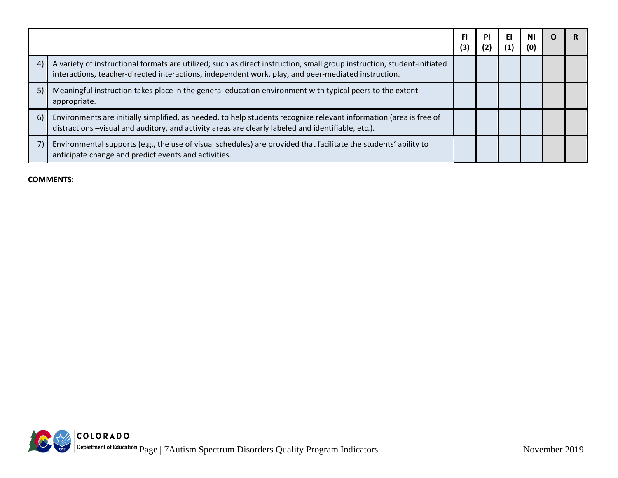|    |                                                                                                                                                                                                                                | FI<br>(3) | <b>PI</b><br>(2) | EI.<br>(1) | <b>NI</b><br>(0) | O |  |
|----|--------------------------------------------------------------------------------------------------------------------------------------------------------------------------------------------------------------------------------|-----------|------------------|------------|------------------|---|--|
| 4  | A variety of instructional formats are utilized; such as direct instruction, small group instruction, student-initiated<br>interactions, teacher-directed interactions, independent work, play, and peer-mediated instruction. |           |                  |            |                  |   |  |
| 5) | Meaningful instruction takes place in the general education environment with typical peers to the extent<br>appropriate.                                                                                                       |           |                  |            |                  |   |  |
| 6) | Environments are initially simplified, as needed, to help students recognize relevant information (area is free of<br>distractions -visual and auditory, and activity areas are clearly labeled and identifiable, etc.).       |           |                  |            |                  |   |  |
|    | Environmental supports (e.g., the use of visual schedules) are provided that facilitate the students' ability to<br>anticipate change and predict events and activities.                                                       |           |                  |            |                  |   |  |

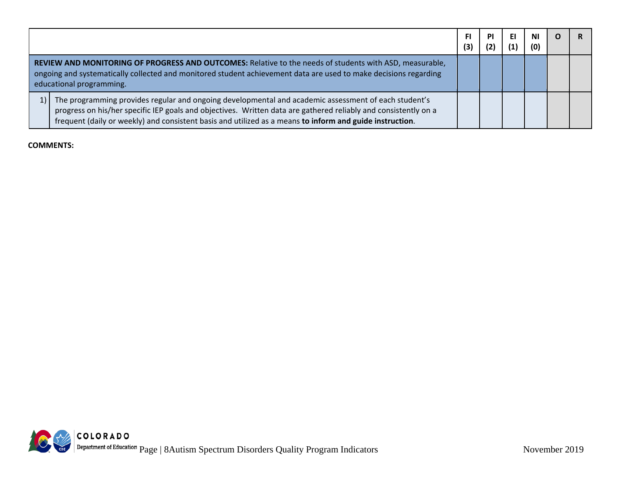|      |                                                                                                                                                                                                                                                                                                                                     | <b>FI</b><br>(3) | PI | EI | ΝI<br>(0) |  |
|------|-------------------------------------------------------------------------------------------------------------------------------------------------------------------------------------------------------------------------------------------------------------------------------------------------------------------------------------|------------------|----|----|-----------|--|
|      | REVIEW AND MONITORING OF PROGRESS AND OUTCOMES: Relative to the needs of students with ASD, measurable,<br>ongoing and systematically collected and monitored student achievement data are used to make decisions regarding<br>educational programming.                                                                             |                  |    |    |           |  |
| $1)$ | The programming provides regular and ongoing developmental and academic assessment of each student's<br>progress on his/her specific IEP goals and objectives. Written data are gathered reliably and consistently on a<br>frequent (daily or weekly) and consistent basis and utilized as a means to inform and guide instruction. |                  |    |    |           |  |

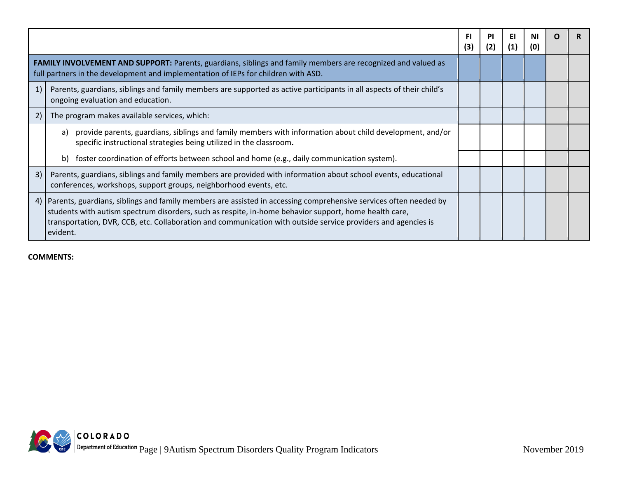|    |                                                                                                                                                                                                                                                                                                                                                        | FI<br>(3) | ΡI<br>(2) | ΕI<br>(1) | (0) |  |
|----|--------------------------------------------------------------------------------------------------------------------------------------------------------------------------------------------------------------------------------------------------------------------------------------------------------------------------------------------------------|-----------|-----------|-----------|-----|--|
|    | FAMILY INVOLVEMENT AND SUPPORT: Parents, guardians, siblings and family members are recognized and valued as<br>full partners in the development and implementation of IEPs for children with ASD.                                                                                                                                                     |           |           |           |     |  |
| 1) | Parents, guardians, siblings and family members are supported as active participants in all aspects of their child's<br>ongoing evaluation and education.                                                                                                                                                                                              |           |           |           |     |  |
| 2) | The program makes available services, which:                                                                                                                                                                                                                                                                                                           |           |           |           |     |  |
|    | provide parents, guardians, siblings and family members with information about child development, and/or<br>a)<br>specific instructional strategies being utilized in the classroom.                                                                                                                                                                   |           |           |           |     |  |
|    | foster coordination of efforts between school and home (e.g., daily communication system).<br>b)                                                                                                                                                                                                                                                       |           |           |           |     |  |
| 3) | Parents, guardians, siblings and family members are provided with information about school events, educational<br>conferences, workshops, support groups, neighborhood events, etc.                                                                                                                                                                    |           |           |           |     |  |
| 4) | Parents, guardians, siblings and family members are assisted in accessing comprehensive services often needed by<br>students with autism spectrum disorders, such as respite, in-home behavior support, home health care,<br>transportation, DVR, CCB, etc. Collaboration and communication with outside service providers and agencies is<br>evident. |           |           |           |     |  |

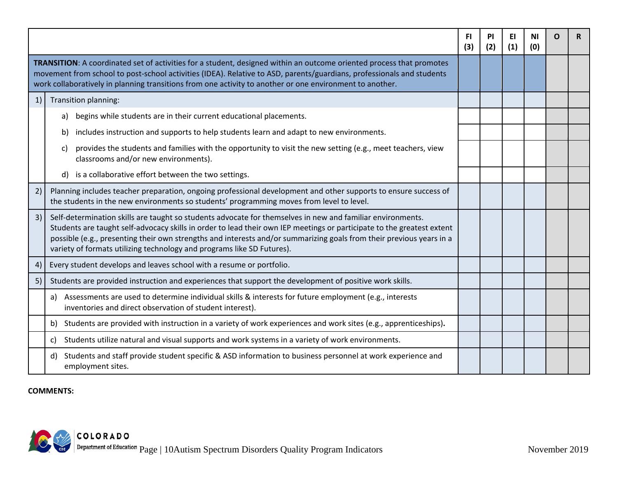|    |                                                                                                                                                                                                                                                                                                                                                                                                                                        | FI.<br>(3) | PI<br>(2) | EI.<br>(1) | <b>NI</b><br>(0) | O | R |
|----|----------------------------------------------------------------------------------------------------------------------------------------------------------------------------------------------------------------------------------------------------------------------------------------------------------------------------------------------------------------------------------------------------------------------------------------|------------|-----------|------------|------------------|---|---|
|    | TRANSITION: A coordinated set of activities for a student, designed within an outcome oriented process that promotes<br>movement from school to post-school activities (IDEA). Relative to ASD, parents/guardians, professionals and students<br>work collaboratively in planning transitions from one activity to another or one environment to another.                                                                              |            |           |            |                  |   |   |
| 1) | Transition planning:                                                                                                                                                                                                                                                                                                                                                                                                                   |            |           |            |                  |   |   |
|    | begins while students are in their current educational placements.<br>a)                                                                                                                                                                                                                                                                                                                                                               |            |           |            |                  |   |   |
|    | includes instruction and supports to help students learn and adapt to new environments.<br>b)                                                                                                                                                                                                                                                                                                                                          |            |           |            |                  |   |   |
|    | provides the students and families with the opportunity to visit the new setting (e.g., meet teachers, view<br>C)<br>classrooms and/or new environments).                                                                                                                                                                                                                                                                              |            |           |            |                  |   |   |
|    | is a collaborative effort between the two settings.<br>d)                                                                                                                                                                                                                                                                                                                                                                              |            |           |            |                  |   |   |
| 2) | Planning includes teacher preparation, ongoing professional development and other supports to ensure success of<br>the students in the new environments so students' programming moves from level to level.                                                                                                                                                                                                                            |            |           |            |                  |   |   |
| 3) | Self-determination skills are taught so students advocate for themselves in new and familiar environments.<br>Students are taught self-advocacy skills in order to lead their own IEP meetings or participate to the greatest extent<br>possible (e.g., presenting their own strengths and interests and/or summarizing goals from their previous years in a<br>variety of formats utilizing technology and programs like SD Futures). |            |           |            |                  |   |   |
| 4) | Every student develops and leaves school with a resume or portfolio.                                                                                                                                                                                                                                                                                                                                                                   |            |           |            |                  |   |   |
| 5) | Students are provided instruction and experiences that support the development of positive work skills.                                                                                                                                                                                                                                                                                                                                |            |           |            |                  |   |   |
|    | Assessments are used to determine individual skills & interests for future employment (e.g., interests<br>a)<br>inventories and direct observation of student interest).                                                                                                                                                                                                                                                               |            |           |            |                  |   |   |
|    | Students are provided with instruction in a variety of work experiences and work sites (e.g., apprenticeships).                                                                                                                                                                                                                                                                                                                        |            |           |            |                  |   |   |
|    | Students utilize natural and visual supports and work systems in a variety of work environments.<br>C)                                                                                                                                                                                                                                                                                                                                 |            |           |            |                  |   |   |
|    | Students and staff provide student specific & ASD information to business personnel at work experience and<br>d)<br>employment sites.                                                                                                                                                                                                                                                                                                  |            |           |            |                  |   |   |

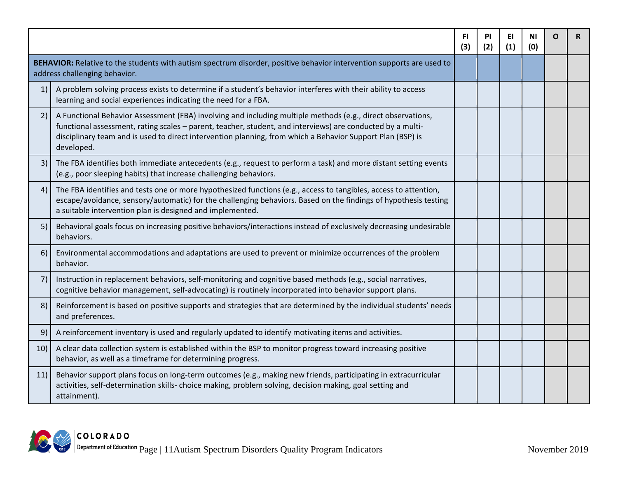|                                                                                                                                                        |                                                                                                                                                                                                                                                                                                                                                       | FI.<br>(3) | PI<br>(2) | EI<br>(1) | ΝI<br>(0) | O | R |
|--------------------------------------------------------------------------------------------------------------------------------------------------------|-------------------------------------------------------------------------------------------------------------------------------------------------------------------------------------------------------------------------------------------------------------------------------------------------------------------------------------------------------|------------|-----------|-----------|-----------|---|---|
| BEHAVIOR: Relative to the students with autism spectrum disorder, positive behavior intervention supports are used to<br>address challenging behavior. |                                                                                                                                                                                                                                                                                                                                                       |            |           |           |           |   |   |
| 1)                                                                                                                                                     | A problem solving process exists to determine if a student's behavior interferes with their ability to access<br>learning and social experiences indicating the need for a FBA.                                                                                                                                                                       |            |           |           |           |   |   |
| 2)                                                                                                                                                     | A Functional Behavior Assessment (FBA) involving and including multiple methods (e.g., direct observations,<br>functional assessment, rating scales - parent, teacher, student, and interviews) are conducted by a multi-<br>disciplinary team and is used to direct intervention planning, from which a Behavior Support Plan (BSP) is<br>developed. |            |           |           |           |   |   |
| 3)                                                                                                                                                     | The FBA identifies both immediate antecedents (e.g., request to perform a task) and more distant setting events<br>(e.g., poor sleeping habits) that increase challenging behaviors.                                                                                                                                                                  |            |           |           |           |   |   |
| 4)                                                                                                                                                     | The FBA identifies and tests one or more hypothesized functions (e.g., access to tangibles, access to attention,<br>escape/avoidance, sensory/automatic) for the challenging behaviors. Based on the findings of hypothesis testing<br>a suitable intervention plan is designed and implemented.                                                      |            |           |           |           |   |   |
| 5)                                                                                                                                                     | Behavioral goals focus on increasing positive behaviors/interactions instead of exclusively decreasing undesirable<br>behaviors.                                                                                                                                                                                                                      |            |           |           |           |   |   |
| 6)                                                                                                                                                     | Environmental accommodations and adaptations are used to prevent or minimize occurrences of the problem<br>behavior.                                                                                                                                                                                                                                  |            |           |           |           |   |   |
| 7)                                                                                                                                                     | Instruction in replacement behaviors, self-monitoring and cognitive based methods (e.g., social narratives,<br>cognitive behavior management, self-advocating) is routinely incorporated into behavior support plans.                                                                                                                                 |            |           |           |           |   |   |
| 8)                                                                                                                                                     | Reinforcement is based on positive supports and strategies that are determined by the individual students' needs<br>and preferences.                                                                                                                                                                                                                  |            |           |           |           |   |   |
| 9)                                                                                                                                                     | A reinforcement inventory is used and regularly updated to identify motivating items and activities.                                                                                                                                                                                                                                                  |            |           |           |           |   |   |
| 10)                                                                                                                                                    | A clear data collection system is established within the BSP to monitor progress toward increasing positive<br>behavior, as well as a timeframe for determining progress.                                                                                                                                                                             |            |           |           |           |   |   |
| 11)                                                                                                                                                    | Behavior support plans focus on long-term outcomes (e.g., making new friends, participating in extracurricular<br>activities, self-determination skills- choice making, problem solving, decision making, goal setting and<br>attainment).                                                                                                            |            |           |           |           |   |   |